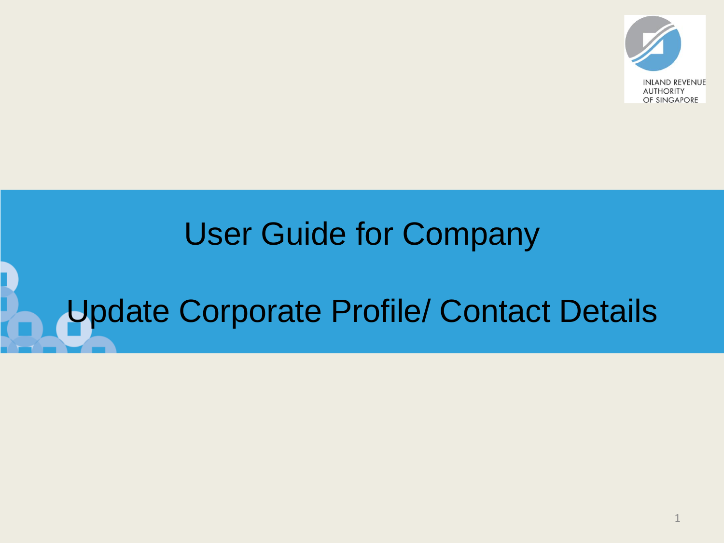

## User Guide for Company

# Update Corporate Profile/ Contact Details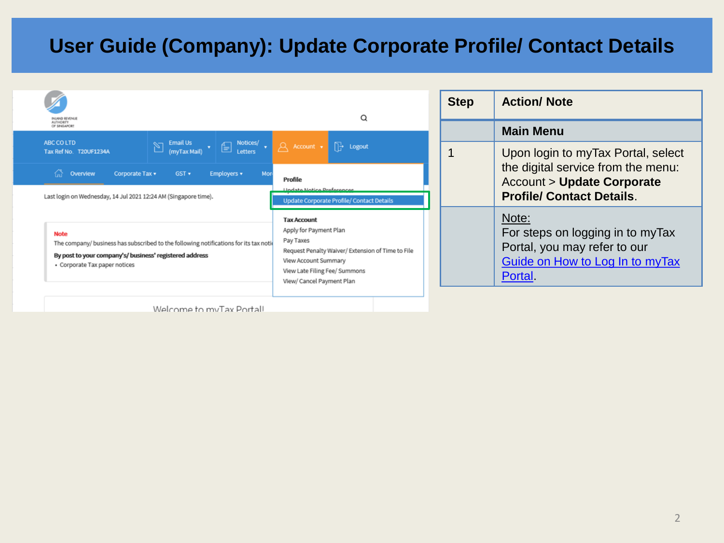| <b>NUMO REVENUE</b>                                                                                                                                                                              | Q                                                                                                                                                                                                    | <b>Step</b> | <b>Action/ Note</b>                                                                                                    |
|--------------------------------------------------------------------------------------------------------------------------------------------------------------------------------------------------|------------------------------------------------------------------------------------------------------------------------------------------------------------------------------------------------------|-------------|------------------------------------------------------------------------------------------------------------------------|
| <b>UTHORTY</b><br>OF SINGAPORE                                                                                                                                                                   |                                                                                                                                                                                                      |             | <b>Main Menu</b>                                                                                                       |
| ABC COLTD<br>$\boxed{\sum \frac{\text{Email Us}}{(\text{mvTax Mail})} \cdot \boxed{\bigoplus \frac{\text{Notices/}}{\text{Letters}}} \cdot \boxed{\bigoplus}}$<br>Tax Ref No. T20UF1234A         | A Account v <sup>1</sup> Logout                                                                                                                                                                      |             | Upon login to myTax Portal, select                                                                                     |
| ⚠<br>Overview<br>Corporate Tax v<br>Employers v<br>$GST$ $\star$<br>Mor                                                                                                                          | Profile                                                                                                                                                                                              |             | the digital service from the menu:<br><b>Account &gt; Update Corporate</b>                                             |
| Last login on Wednesday, 14 Jul 2021 12:24 AM (Singapore time).                                                                                                                                  | <b>Undate Notice Preferences</b><br><b>Update Corporate Profile/ Contact Details</b>                                                                                                                 |             | <b>Profile/ Contact Details.</b>                                                                                       |
| <b>Note</b><br>The company/ business has subscribed to the following notifications for its tax notid<br>By post to your company's/ business' registered address<br>• Corporate Tax paper notices | <b>Tax Account</b><br>Apply for Payment Plan<br>Pay Taxes<br>Request Penalty Waiver/ Extension of Time to File<br>View Account Summary<br>View Late Filing Fee/ Summons<br>View/ Cancel Payment Plan |             | Note:<br>For steps on logging in to myTax<br>Portal, you may refer to our<br>Guide on How to Log In to myTax<br>Portal |
| Welcome to myTay Portall                                                                                                                                                                         |                                                                                                                                                                                                      |             |                                                                                                                        |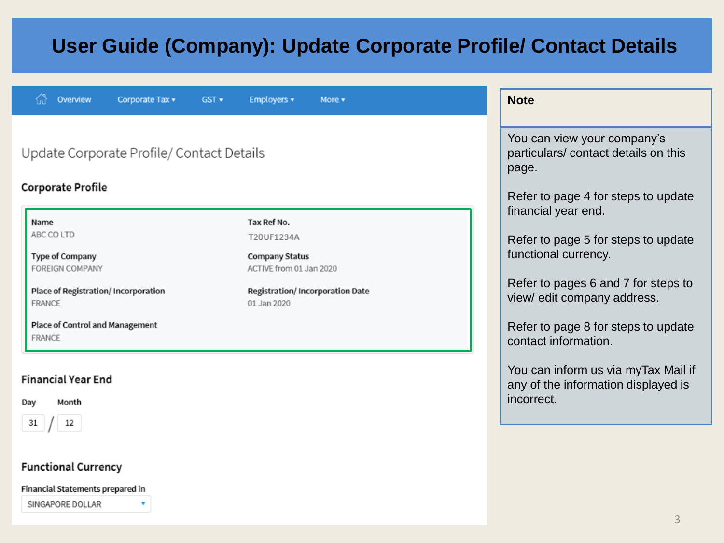| Overview<br>Corporate Tax v                                                                                                                          | GST | Employers v                                                                                                                            | More $\star$ | <b>Note</b>                                                                                                                                                                                     |
|------------------------------------------------------------------------------------------------------------------------------------------------------|-----|----------------------------------------------------------------------------------------------------------------------------------------|--------------|-------------------------------------------------------------------------------------------------------------------------------------------------------------------------------------------------|
|                                                                                                                                                      |     |                                                                                                                                        |              |                                                                                                                                                                                                 |
| Update Corporate Profile/ Contact Details                                                                                                            |     |                                                                                                                                        |              | You can view your company's<br>particulars/contact details on this<br>page.                                                                                                                     |
| <b>Corporate Profile</b>                                                                                                                             |     |                                                                                                                                        |              | Refer to page 4 for steps to update                                                                                                                                                             |
| Name<br>ABC CO LTD<br><b>Type of Company</b><br>FOREIGN COMPANY<br>Place of Registration/ Incorporation<br>FRANCE<br>Place of Control and Management |     | Tax Ref No.<br>T20UF1234A<br><b>Company Status</b><br>ACTIVE from 01 Jan 2020<br><b>Registration/Incorporation Date</b><br>01 Jan 2020 |              | financial year end.<br>Refer to page 5 for steps to update<br>functional currency.<br>Refer to pages 6 and 7 for steps to<br>view/ edit company address.<br>Refer to page 8 for steps to update |
| FRANCE<br><b>Financial Year End</b><br>Month<br>Day<br>31<br>12<br><b>Functional Currency</b>                                                        |     |                                                                                                                                        |              | contact information.<br>You can inform us via myTax Mail if<br>any of the information displayed is<br>incorrect.                                                                                |

Financial Statements prepared in

SINGAPORE DOLLAR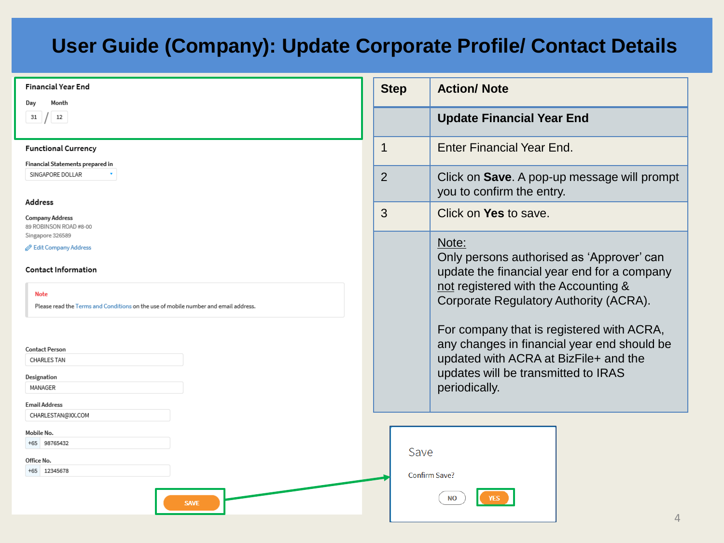| <b>Financial Year End</b>                                                                          | <b>Step</b>    | <b>Action/ Note</b>                                                                                                                                                                       |
|----------------------------------------------------------------------------------------------------|----------------|-------------------------------------------------------------------------------------------------------------------------------------------------------------------------------------------|
| Month<br>Day<br>12<br>31                                                                           |                | <b>Update Financial Year End</b>                                                                                                                                                          |
| <b>Functional Currency</b>                                                                         | $\mathbf 1$    | <b>Enter Financial Year End.</b>                                                                                                                                                          |
| Financial Statements prepared in<br>SINGAPORE DOLLAR                                               | $\overline{2}$ | Click on Save. A pop-up message will prompt<br>you to confirm the entry.                                                                                                                  |
| <b>Address</b><br><b>Company Address</b><br>89 ROBINSON ROAD #8-00                                 | 3              | Click on Yes to save.                                                                                                                                                                     |
| Singapore 326589<br>Edit Company Address<br><b>Contact Information</b>                             |                | Note:<br>Only persons authorised as 'Approver' can<br>update the financial year end for a company                                                                                         |
| <b>Note</b><br>Please read the Terms and Conditions on the use of mobile number and email address. |                | not registered with the Accounting &<br>Corporate Regulatory Authority (ACRA).                                                                                                            |
| <b>Contact Person</b><br><b>CHARLES TAN</b><br>Designation<br>MANAGER                              |                | For company that is registered with ACRA,<br>any changes in financial year end should be<br>updated with ACRA at BizFile+ and the<br>updates will be transmitted to IRAS<br>periodically. |
| <b>Email Address</b><br>CHARLESTAN@XX.COM                                                          |                |                                                                                                                                                                                           |
| Mobile No.<br>+65 98765432<br>Office No.<br>+65 12345678                                           | Save           | Confirm Save?                                                                                                                                                                             |
| <b>SAVE</b>                                                                                        |                | <b>NO</b><br>$\sqrt{ }$                                                                                                                                                                   |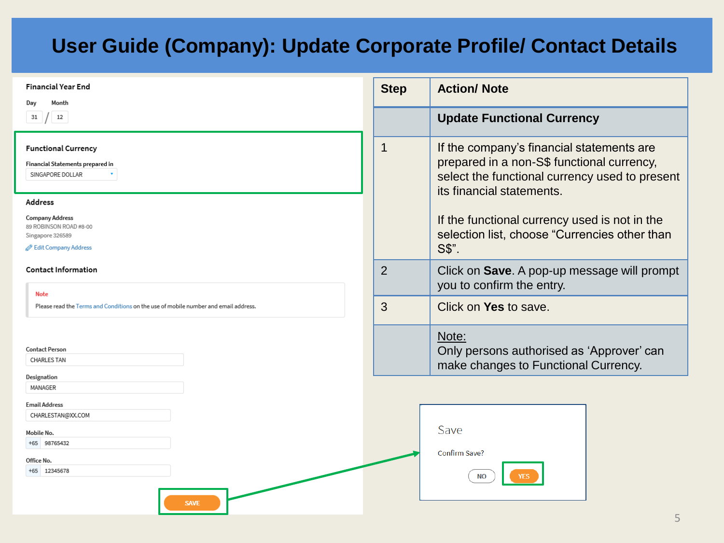| <b>Financial Year End</b><br>Month<br>Day                                                          | <b>Step</b> | <b>Action/ Note</b>                                                                                                                                                    |
|----------------------------------------------------------------------------------------------------|-------------|------------------------------------------------------------------------------------------------------------------------------------------------------------------------|
| 12<br>31                                                                                           |             | <b>Update Functional Currency</b>                                                                                                                                      |
| <b>Functional Currency</b><br>Financial Statements prepared in<br>SINGAPORE DOLLAR                 | 1           | If the company's financial statements are<br>prepared in a non-S\$ functional currency,<br>select the functional currency used to present<br>its financial statements. |
| Address                                                                                            |             |                                                                                                                                                                        |
| <b>Company Address</b><br>89 ROBINSON ROAD #8-00<br>Singapore 326589                               |             | If the functional currency used is not in the<br>selection list, choose "Currencies other than                                                                         |
| Edit Company Address                                                                               |             | S\$".                                                                                                                                                                  |
| <b>Contact Information</b>                                                                         | 2           | Click on Save. A pop-up message will prompt<br>you to confirm the entry.                                                                                               |
| <b>Note</b><br>Please read the Terms and Conditions on the use of mobile number and email address. | 3           | Click on Yes to save.                                                                                                                                                  |
|                                                                                                    |             | Note:                                                                                                                                                                  |
| <b>Contact Person</b>                                                                              |             | Only persons authorised as 'Approver' can                                                                                                                              |
| CHARLES TAN                                                                                        |             | make changes to Functional Currency.                                                                                                                                   |
| Designation                                                                                        |             |                                                                                                                                                                        |
| MANAGER                                                                                            |             |                                                                                                                                                                        |
| <b>Email Address</b><br>CHARLESTAN@XX.COM                                                          |             |                                                                                                                                                                        |
| Mobile No.                                                                                         |             | Save                                                                                                                                                                   |
| +65 98765432                                                                                       |             |                                                                                                                                                                        |
| Office No.                                                                                         |             | Confirm Save?                                                                                                                                                          |
| +65 12345678<br><b>SAVE</b>                                                                        |             | <b>NO</b><br><b>YES</b>                                                                                                                                                |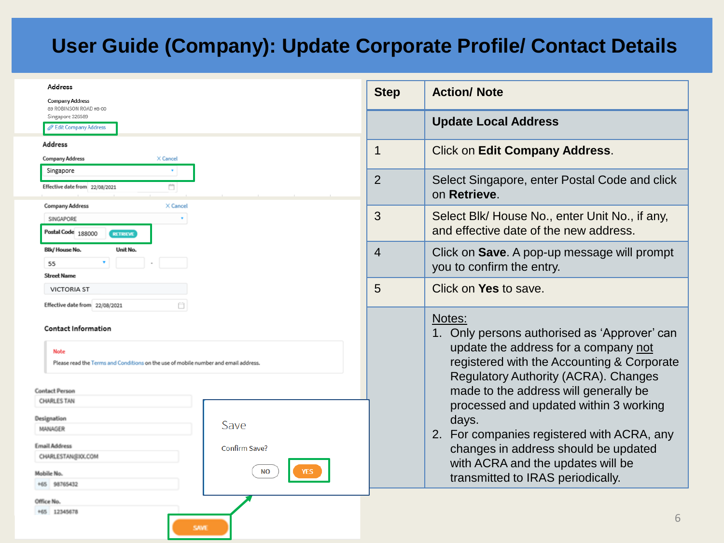| Address<br><b>Company Address</b>                                                                                                                                               |                | <b>Action/ Note</b>                                                                                                                                                                                                                                      |
|---------------------------------------------------------------------------------------------------------------------------------------------------------------------------------|----------------|----------------------------------------------------------------------------------------------------------------------------------------------------------------------------------------------------------------------------------------------------------|
| 89 ROBINSON ROAD #8-00<br>Singapore 326589<br><b>But Company Address</b>                                                                                                        |                | <b>Update Local Address</b>                                                                                                                                                                                                                              |
| <b>Address</b><br>X Cancel<br><b>Company Address</b>                                                                                                                            | $\mathbf 1$    | <b>Click on Edit Company Address.</b>                                                                                                                                                                                                                    |
| Singapore<br>Ö<br>Effective date from 22/08/2021                                                                                                                                | $\overline{2}$ | Select Singapore, enter Postal Code and click<br>on Retrieve.                                                                                                                                                                                            |
| <b>Company Address</b><br>X Cancel<br>SINGAPORE<br>Postal Code 188000<br><b>RETRIEVE</b>                                                                                        | 3              | Select Blk/ House No., enter Unit No., if any,<br>and effective date of the new address.                                                                                                                                                                 |
| Unit No.<br><b>Blk/House No.</b><br>55<br><b>Street Name</b>                                                                                                                    | 4              | Click on Save. A pop-up message will prompt<br>you to confirm the entry.                                                                                                                                                                                 |
| <b>VICTORIA ST</b><br>Effective date from 22/08/2021                                                                                                                            | 5              | Click on Yes to save.                                                                                                                                                                                                                                    |
| <b>Contact Information</b><br><b>Note</b><br>Please read the Terms and Conditions on the use of mobile number and email address.                                                |                | Notes:<br>1. Only persons authorised as 'Approver' can<br>update the address for a company not<br>registered with the Accounting & Corporate<br><b>Regulatory Authority (ACRA). Changes</b>                                                              |
| <b>Contact Person</b><br>CHARLES TAN<br>Designation<br>Save<br>MANAGER<br><b>Email Address</b><br>Confirm Save?<br>CHARLESTAN@XXLCOM<br><b>NO</b><br>Mobile No.<br>+65 98765432 |                | made to the address will generally be<br>processed and updated within 3 working<br>days.<br>2. For companies registered with ACRA, any<br>changes in address should be updated<br>with ACRA and the updates will be<br>transmitted to IRAS periodically. |
| Office No.<br>+65 12345678<br><b>SAVI</b>                                                                                                                                       |                | 6                                                                                                                                                                                                                                                        |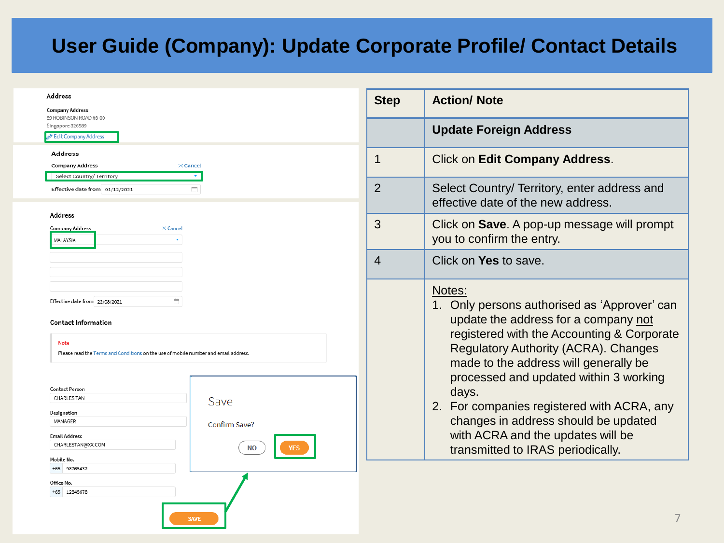| Address<br><b>Company Address</b>                                                                                                                                        | <b>Step</b>    | <b>Action/ Note</b>                                                                                                                                                                                                                                                            |
|--------------------------------------------------------------------------------------------------------------------------------------------------------------------------|----------------|--------------------------------------------------------------------------------------------------------------------------------------------------------------------------------------------------------------------------------------------------------------------------------|
| 89 ROBINSON ROAD #8-00<br>Singapore 326589<br><b>Edit Company Address</b>                                                                                                |                | <b>Update Foreign Address</b>                                                                                                                                                                                                                                                  |
| <b>Address</b><br><b>Company Address</b><br>$\times$ Cancel<br>Select Country/ Territory                                                                                 | 1              | Click on Edit Company Address.                                                                                                                                                                                                                                                 |
| ā<br>Effective date from 01/12/2021                                                                                                                                      | $\overline{2}$ | Select Country/ Territory, enter address and<br>effective date of the new address.                                                                                                                                                                                             |
| <b>Address</b><br><b>Company Address</b><br>X Cancel<br>MALAYSIA                                                                                                         | 3              | Click on Save. A pop-up message will prompt<br>you to confirm the entry.                                                                                                                                                                                                       |
|                                                                                                                                                                          | 4              | Click on Yes to save.                                                                                                                                                                                                                                                          |
| Effective date from 22/08/2021<br>Ò.<br><b>Contact Information</b><br><b>Note</b><br>Please read the Terms and Conditions on the use of mobile number and email address. |                | Notes:<br>1. Only persons authorised as 'Approver' can<br>update the address for a company not<br>registered with the Accounting & Corporate<br><b>Regulatory Authority (ACRA). Changes</b><br>made to the address will generally be<br>processed and updated within 3 working |
| <b>Contact Person</b><br><b>CHARLES TAN</b><br>Save<br>Designation<br>MANAGER<br>Confirm Save?<br><b>Email Address</b><br>CHARLESTAN@XX.COM<br><b>NO</b>                 |                | days.<br>2. For companies registered with ACRA, any<br>changes in address should be updated<br>with ACRA and the updates will be<br>transmitted to IRAS periodically.                                                                                                          |
| Mobile No.<br>+65 98765432<br>Office No.<br>+65 12345678<br><b>SAVE</b>                                                                                                  |                |                                                                                                                                                                                                                                                                                |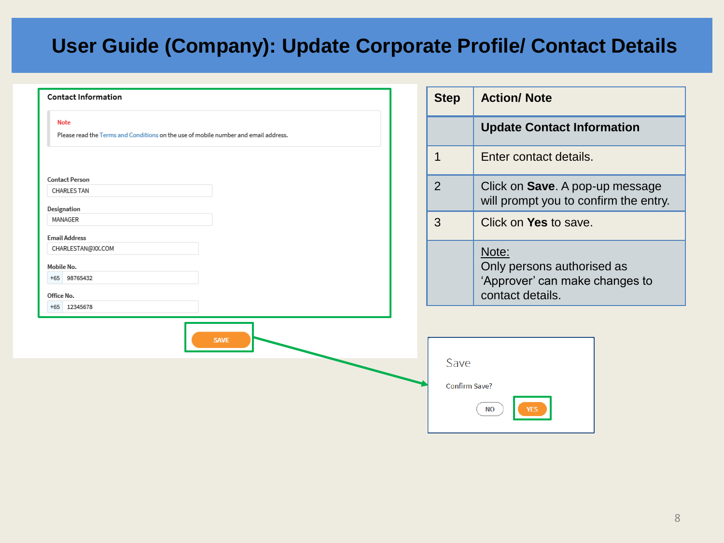| <b>Contact Information</b>                                                                  | <b>Step</b>   | <b>Action/ Note</b>                                                                       |
|---------------------------------------------------------------------------------------------|---------------|-------------------------------------------------------------------------------------------|
| Note<br>Please read the Terms and Conditions on the use of mobile number and email address. |               | <b>Update Contact Information</b>                                                         |
|                                                                                             | 1             | Enter contact details.                                                                    |
| <b>Contact Person</b><br><b>CHARLES TAN</b><br>Designation                                  | 2             | Click on Save. A pop-up message<br>will prompt you to confirm the entry.                  |
| MANAGER                                                                                     | 3             | Click on Yes to save.                                                                     |
| <b>Email Address</b><br>CHARLESTAN@XX.COM<br>Mobile No.<br>+65 98765432<br>Office No.       |               | Note:<br>Only persons authorised as<br>'Approver' can make changes to<br>contact details. |
| +65 12345678<br><b>SAVE</b>                                                                 | Save          |                                                                                           |
|                                                                                             | Confirm Save? | <b>NO</b>                                                                                 |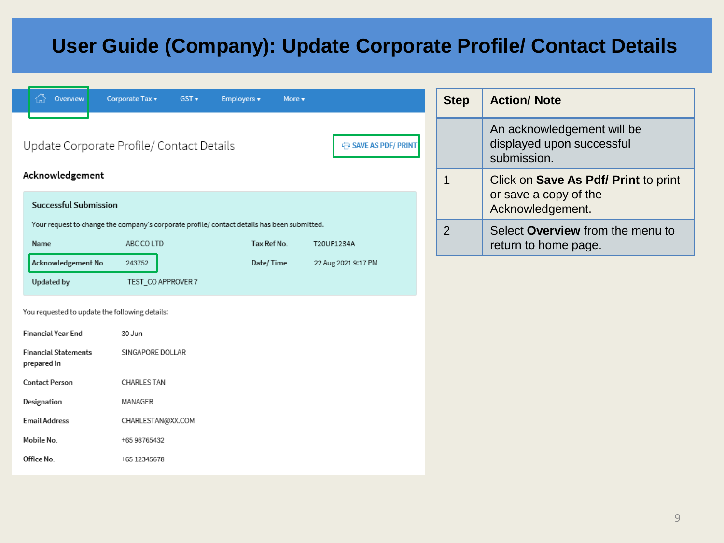| Overview                                       | Corporate Tax v<br>$GST +$<br>Employers v                                                   | More v      |                      | <b>Step</b>                               | <b>Action/ Note</b>                                                    |
|------------------------------------------------|---------------------------------------------------------------------------------------------|-------------|----------------------|-------------------------------------------|------------------------------------------------------------------------|
|                                                | Update Corporate Profile/ Contact Details                                                   |             | 导 SAVE AS PDF/ PRINT |                                           | An acknowledgement will be<br>displayed upon successful<br>submission. |
| Acknowledgement                                |                                                                                             |             |                      | $\mathbf 1$                               | Click on Save As Pdf/ Print to print                                   |
| <b>Successful Submission</b>                   |                                                                                             |             |                      | or save a copy of the<br>Acknowledgement. |                                                                        |
|                                                | Your request to change the company's corporate profile/ contact details has been submitted. |             |                      | $\overline{2}$                            | Select Overview from the menu to                                       |
| Name                                           | ABC CO LTD                                                                                  | Tax Ref No. | T20UF1234A           |                                           | return to home page.                                                   |
| Acknowledgement No.                            | 243752                                                                                      | Date/Time   | 22 Aug 2021 9:17 PM  |                                           |                                                                        |
| Updated by                                     | TEST_CO APPROVER 7                                                                          |             |                      |                                           |                                                                        |
| You requested to update the following details: |                                                                                             |             |                      |                                           |                                                                        |
| <b>Financial Year End</b>                      | 30 Jun                                                                                      |             |                      |                                           |                                                                        |
| <b>Financial Statements</b><br>prepared in     | SINGAPORE DOLLAR                                                                            |             |                      |                                           |                                                                        |
| <b>Contact Person</b>                          | <b>CHARLES TAN</b>                                                                          |             |                      |                                           |                                                                        |
| Designation                                    | MANAGER                                                                                     |             |                      |                                           |                                                                        |
| <b>Email Address</b>                           | CHARLESTAN@XX.COM                                                                           |             |                      |                                           |                                                                        |
| Mobile No.                                     | +65 98765432                                                                                |             |                      |                                           |                                                                        |
| Office No.                                     | +65 12345678                                                                                |             |                      |                                           |                                                                        |